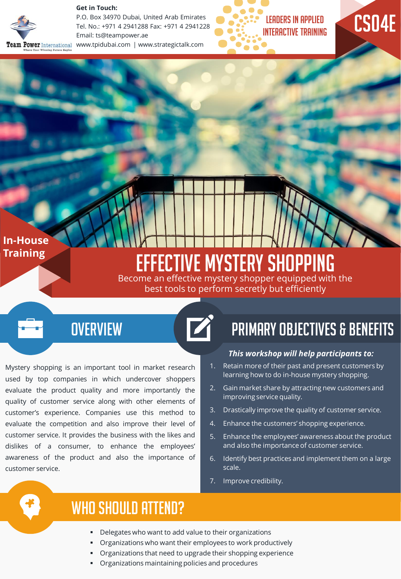

**Get in Touch:** 

P.O. Box 34970 Dubai, United Arab Emirates Tel. No.: +971 4 2941288 Fax: +971 4 2941228 Email: ts@teampower.ae Team Power International www.tpidubai.com | www.strategictalk.com



# CS04E

#### **In-House Training**

# Effective Mystery Shopping

Become an effective mystery shopper equipped with the best tools to perform secretly but efficiently

## **OVERVIEW**

Mystery shopping is an important tool in market research used by top companies in which undercover shoppers evaluate the product quality and more importantly the quality of customer service along with other elements of customer's experience. Companies use this method to evaluate the competition and also improve their level of customer service. It provides the business with the likes and dislikes of a consumer, to enhance the employees' awareness of the product and also the importance of customer service.

# Primary Objectives & Benefits

#### *This workshop will help participants to:*

- 1. Retain more of their past and present customers by learning how to do in-house mystery shopping.
- 2. Gain market share by attracting new customers and improving service quality.
- 3. Drastically improve the quality of customer service.
- 4. Enhance the customers' shopping experience.
- 5. Enhance the employees' awareness about the product and also the importance of customer service.
- 6. Identify best practices and implement them on a large scale.
- 7. Improve credibility.



## WHO SHOULD ATTEND?

- Delegates who want to add value to their organizations
- Organizations who want their employees to work productively
- Organizations that need to upgrade their shopping experience
- Organizations maintaining policies and procedures